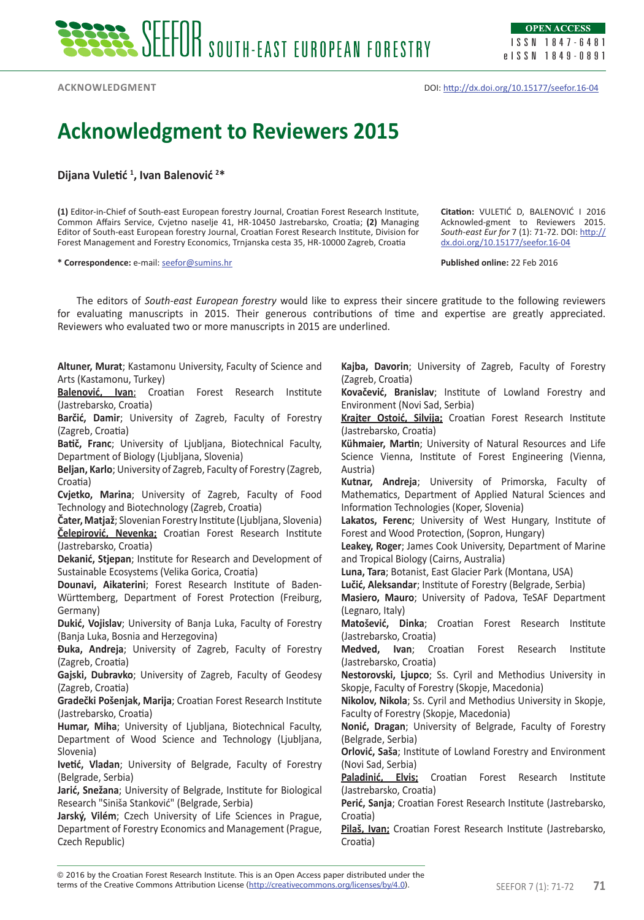**Acknowledgment**

DOI: http://dx.doi.org/10.15177/seefor.16-04

## **Acknowledgment to Reviewers 2015**

**Dijana Vuletić <sup>1</sup> , Ivan Balenović <sup>2</sup> \***

**(1)** Editor-in-Chief of South-east European forestry Journal, Croatian Forest Research Institute, Common Affairs Service, Cvjetno naselje 41, HR-10450 Jastrebarsko, Croatia; **(2)** Managing Editor of South-east European forestry Journal, Croatian Forest Research Institute, Division for Forest Management and Forestry Economics, Trnjanska cesta 35, HR-10000 Zagreb, Croatia

**\* Correspondence:** e-mail: seefor@sumins.hr

**Citation:** VULETIĆ D, BALENOVIĆ I 2016 Acknowled-gment to Reviewers 2015. *South-east Eur for* 7 (1): 71-72. DOI: http:// dx.doi.org/10.15177/seefor.16-04

**Published online:** 22 Feb 2016

The editors of *South-east European forestry* would like to express their sincere gratitude to the following reviewers for evaluating manuscripts in 2015. Their generous contributions of time and expertise are greatly appreciated. Reviewers who evaluated two or more manuscripts in 2015 are underlined.

**Altuner, Murat**; Kastamonu University, Faculty of Science and Arts (Kastamonu, Turkey)

**Balenović, Ivan**; Croatian Forest Research Institute (Jastrebarsko, Croatia)

**Barčić, Damir**; University of Zagreb, Faculty of Forestry (Zagreb, Croatia)

**Batič, Franc**; University of Ljubljana, Biotechnical Faculty, Department of Biology (Ljubljana, Slovenia)

**Beljan, Karlo**; University of Zagreb, Faculty of Forestry (Zagreb, Croatia)

**Cvjetko, Marina**; University of Zagreb, Faculty of Food Technology and Biotechnology (Zagreb, Croatia)

**Čater, Matjaž**; Slovenian Forestry Institute (Ljubljana, Slovenia) **Čelepirović, Nevenka;** Croatian Forest Research Institute (Jastrebarsko, Croatia)

**Dekanić, Stjepan**; Institute for Research and Development of Sustainable Ecosystems (Velika Gorica, Croatia)

**Dounavi, Aikaterini**; Forest Research Institute of Baden-Württemberg, Department of Forest Protection (Freiburg, Germany)

**Dukić, Vojislav**; University of Banja Luka, Faculty of Forestry (Banja Luka, Bosnia and Herzegovina)

**Đuka, Andreja**; University of Zagreb, Faculty of Forestry (Zagreb, Croatia)

**Gajski, Dubravko**; University of Zagreb, Faculty of Geodesy (Zagreb, Croatia)

**Gradečki Pošenjak, Marija**; Croatian Forest Research Institute (Jastrebarsko, Croatia)

**Humar, Miha**; University of Ljubljana, Biotechnical Faculty, Department of Wood Science and Technology (Ljubljana, Slovenia)

**Ivetić, Vladan**; University of Belgrade, Faculty of Forestry (Belgrade, Serbia)

**Jarić, Snežana**; University of Belgrade, Institute for Biological Research "Siniša Stanković" (Belgrade, Serbia)

**Jarský, Vilém**; Czech University of Life Sciences in Prague, Department of Forestry Economics and Management (Prague, Czech Republic)

**Kajba, Davorin**; University of Zagreb, Faculty of Forestry (Zagreb, Croatia)

**Kovačević, Branislav**; Institute of Lowland Forestry and Environment (Novi Sad, Serbia)

**Krajter Ostoić, Silvija;** Croatian Forest Research Institute (Jastrebarsko, Croatia)

**Kühmaier, Martin**; University of Natural Resources and Life Science Vienna, Institute of Forest Engineering (Vienna, Austria)

**Kutnar, Andreja**; University of Primorska, Faculty of Mathematics, Department of Applied Natural Sciences and Information Technologies (Koper, Slovenia)

**Lakatos, Ferenc**; University of West Hungary, Institute of Forest and Wood Protection, (Sopron, Hungary)

**Leakey, Roger**; James Cook University, Department of Marine and Tropical Biology (Cairns, Australia)

**Luna, Tara**; Botanist, East Glacier Park (Montana, USA)

**Lučić, Aleksandar**; Institute of Forestry (Belgrade, Serbia)

**Masiero, Mauro**; University of Padova, TeSAF Department (Legnaro, Italy)

**Matošević, Dinka**; Croatian Forest Research Institute (Jastrebarsko, Croatia)

**Medved, Ivan**; Croatian Forest Research Institute (Jastrebarsko, Croatia)

**Nestorovski, Ljupco**; Ss. Cyril and Methodius University in Skopje, Faculty of Forestry (Skopje, Macedonia)

**Nikolov, Nikola**; Ss. Cyril and Methodius University in Skopje, Faculty of Forestry (Skopje, Macedonia)

**Nonić, Dragan**; University of Belgrade, Faculty of Forestry (Belgrade, Serbia)

**Orlović, Saša**; Institute of Lowland Forestry and Environment (Novi Sad, Serbia)

**Paladinić, Elvis;** Croatian Forest Research Institute (Jastrebarsko, Croatia)

**Perić, Sanja**; Croatian Forest Research Institute (Jastrebarsko, Croatia)

**Pilaš, Ivan;** Croatian Forest Research Institute (Jastrebarsko, Croatia)

terms of the Creative Commons Attribution License (<u>http://creativecommons.org/licenses/by/4.0</u>). SEEFOR 7 (1): 71-72 **71** © 2016 by the Croatian Forest Research Institute. This is an Open Access paper distributed under the